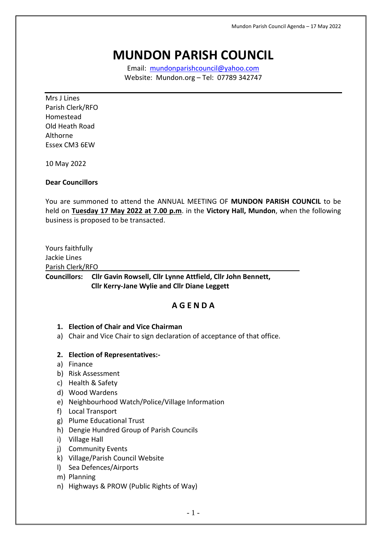# **MUNDON PARISH COUNCIL**

Email: [mundonparishcouncil@yahoo.com](mailto:mundonparishcouncil@yahoo.com) Website: Mundon.org – Tel: 07789 342747

Mrs J Lines Parish Clerk/RFO Homestead Old Heath Road Althorne Essex CM3 6EW

10 May 2022

## **Dear Councillors**

You are summoned to attend the ANNUAL MEETING OF **MUNDON PARISH COUNCIL** to be held on **Tuesday 17 May 2022 at 7.00 p.m**. in the **Victory Hall, Mundon**, when the following business is proposed to be transacted.

Yours faithfully Jackie Lines Parish Clerk/RFO

**Councillors: Cllr Gavin Rowsell, Cllr Lynne Attfield, Cllr John Bennett, Cllr Kerry-Jane Wylie and Cllr Diane Leggett**

# **A G E N D A**

## **1. Election of Chair and Vice Chairman**

a) Chair and Vice Chair to sign declaration of acceptance of that office.

## **2. Election of Representatives:-**

- a) Finance
- b) Risk Assessment
- c) Health & Safety
- d) Wood Wardens
- e) Neighbourhood Watch/Police/Village Information
- f) Local Transport
- g) Plume Educational Trust
- h) Dengie Hundred Group of Parish Councils
- i) Village Hall
- j) Community Events
- k) Village/Parish Council Website
- l) Sea Defences/Airports
- m) Planning
- n) Highways & PROW (Public Rights of Way)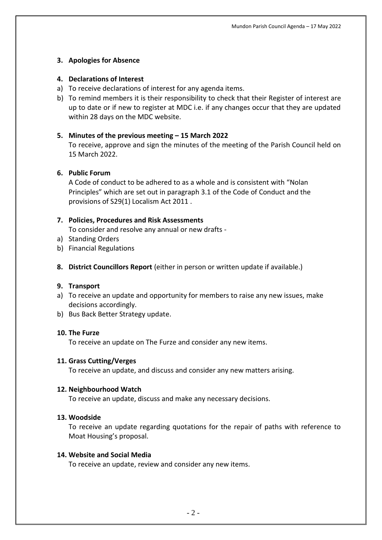## **3. Apologies for Absence**

## **4. Declarations of Interest**

- a) To receive declarations of interest for any agenda items.
- b) To remind members it is their responsibility to check that their Register of interest are up to date or if new to register at MDC i.e. if any changes occur that they are updated within 28 days on the MDC website.

## **5. Minutes of the previous meeting – 15 March 2022**

To receive, approve and sign the minutes of the meeting of the Parish Council held on 15 March 2022.

## **6. Public Forum**

A Code of conduct to be adhered to as a whole and is consistent with "Nolan Principles" which are set out in paragraph 3.1 of the Code of Conduct and the provisions of S29(1) Localism Act 2011 .

## **7. Policies, Procedures and Risk Assessments**

To consider and resolve any annual or new drafts -

- a) Standing Orders
- b) Financial Regulations
- **8. District Councillors Report** (either in person or written update if available.)

## **9. Transport**

- a) To receive an update and opportunity for members to raise any new issues, make decisions accordingly.
- b) Bus Back Better Strategy update.

## **10. The Furze**

To receive an update on The Furze and consider any new items.

## **11. Grass Cutting/Verges**

To receive an update, and discuss and consider any new matters arising.

## **12. Neighbourhood Watch**

To receive an update, discuss and make any necessary decisions.

## **13. Woodside**

To receive an update regarding quotations for the repair of paths with reference to Moat Housing's proposal.

## **14. Website and Social Media**

To receive an update, review and consider any new items.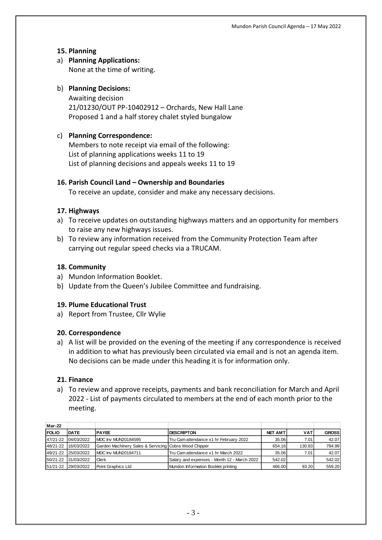## **15. Planning**

## a) **Planning Applications:** None at the time of writing.

# b) **Planning Decisions:** Awaiting decision 21/01230/OUT PP-10402912 – Orchards, New Hall Lane Proposed 1 and a half storey chalet styled bungalow

## c) **Planning Correspondence:**

Members to note receipt via email of the following: List of planning applications weeks 11 to 19 List of planning decisions and appeals weeks 11 to 19

## **16. Parish Council Land – Ownership and Boundaries**

To receive an update, consider and make any necessary decisions.

## **17. Highways**

- a) To receive updates on outstanding highways matters and an opportunity for members to raise any new highways issues.
- b) To review any information received from the Community Protection Team after carrying out regular speed checks via a TRUCAM.

#### **18. Community**

- a) Mundon Information Booklet.
- b) Update from the Queen's Jubilee Committee and fundraising.

#### **19. Plume Educational Trust**

a) Report from Trustee, Cllr Wylie

#### **20. Correspondence**

a) A list will be provided on the evening of the meeting if any correspondence is received in addition to what has previously been circulated via email and is not an agenda item. No decisions can be made under this heading it is for information only.

## **21. Finance**

a) To review and approve receipts, payments and bank reconciliation for March and April 2022 - List of payments circulated to members at the end of each month prior to the meeting.

| Mar-22       |                       |                                                       |                                             |          |            |              |
|--------------|-----------------------|-------------------------------------------------------|---------------------------------------------|----------|------------|--------------|
| <b>FOLIO</b> | <b>IDATE</b>          | <b>IPAYEE</b>                                         | <b>DESCRIPTON</b>                           | NET AMTI | <b>VAT</b> | <b>GROSS</b> |
| 47/21-22     | 04/03/2022            | IMDC Inv MUN20184595                                  | Tru Camattendance x1 hr February 2022       | 35.06    | 7.01       | 42.07        |
| 48/21-22     | 16/03/2022            | Garden Machinery Sales & Servicing Cobra Wood Chipper |                                             | 654.16   | 130.83     | 784.99       |
|              | 149/21-22 125/03/2022 | IMDC Inv MUN20184711                                  | Tru Cam attendance x1 hr March 2022         | 35.06    | 7.01       | 42.07        |
|              | 50/21-22 31/03/2022   | Clerk                                                 | Salary and expenses - Month 12 - March 2022 | 542.02   |            | 542.02       |
|              | 51/21-22 29/03/2022   | Point Graphics Ltd                                    | Mundon Information Booklet printing         | 466.00   | 93.20      | 559.20       |